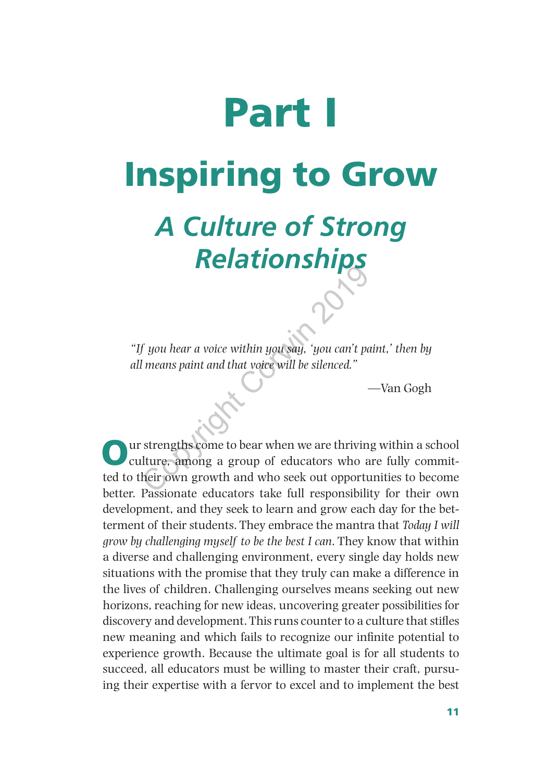# Part I

# Inspiring to Grow

# *A Culture of Strong Relationships*

*"If you hear a voice within you say, 'you can't paint,' then by all means paint and that voice will be silenced."*

—Van Gogh

ur strengths come to bear when we are thriving within a school culture, among a group of educators who are fully committed to their own growth and who seek out opportunities to become better. Passionate educators take full responsibility for their own development, and they seek to learn and grow each day for the betterment of their students. They embrace the mantra that *Today I will grow by challenging myself to be the best I can*. They know that within a diverse and challenging environment, every single day holds new situations with the promise that they truly can make a difference in the lives of children. Challenging ourselves means seeking out new horizons, reaching for new ideas, uncovering greater possibilities for discovery and development. This runs counter to a culture that stifles new meaning and which fails to recognize our infinite potential to experience growth. Because the ultimate goal is for all students to succeed, all educators must be willing to master their craft, pursuing their expertise with a fervor to excel and to implement the best F you hear a voice within you say, 'you can't pair<br>
I means paint and that voice will be silenced."<br>
The simple of the silence of the silence of the set of the silence of the silence of the silence of the silence of the si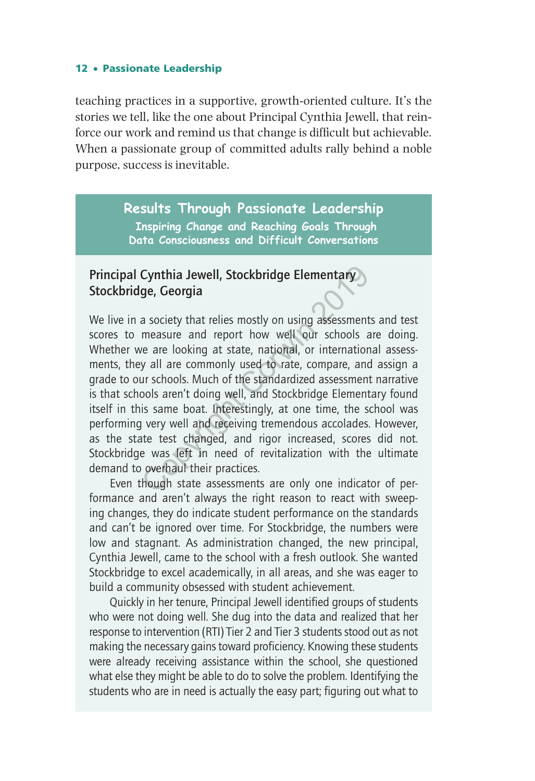#### 12 • Passionate Leadership

teaching practices in a supportive, growth-oriented culture. It's the stories we tell, like the one about Principal Cynthia Jewell, that reinforce our work and remind us that change is difficult but achievable. When a passionate group of committed adults rally behind a noble purpose, success is inevitable.

> **Results Through Passionate Leadership Inspiring Change and Reaching Goals Through Data Consciousness and Difficult Conversations**

# Principal Cynthia Jewell, Stockbridge Elementary Stockbridge, Georgia

We live in a society that relies mostly on using assessments and test scores to measure and report how well our schools are doing. Whether we are looking at state, national, or international assessments, they all are commonly used to rate, compare, and assign a grade to our schools. Much of the standardized assessment narrative is that schools aren't doing well, and Stockbridge Elementary found itself in this same boat. Interestingly, at one time, the school was performing very well and receiving tremendous accolades. However, as the state test changed, and rigor increased, scores did not. Stockbridge was left in need of revitalization with the ultimate demand to overhaul their practices. Cynthia Jewell, Stockbridge Elementary<br>ge, Georgia<br>a society that relies mostly on using assessments<br>measure and report how well our schools are<br>we are looking at state, national, or internationa<br>y all are commonly used to

Even though state assessments are only one indicator of performance and aren't always the right reason to react with sweeping changes, they do indicate student performance on the standards and can't be ignored over time. For Stockbridge, the numbers were low and stagnant. As administration changed, the new principal, Cynthia Jewell, came to the school with a fresh outlook. She wanted Stockbridge to excel academically, in all areas, and she was eager to build a community obsessed with student achievement.

Quickly in her tenure, Principal Jewell identified groups of students who were not doing well. She dug into the data and realized that her response to intervention (RTI) Tier 2 and Tier 3 students stood out as not making the necessary gains toward proficiency. Knowing these students were already receiving assistance within the school, she questioned what else they might be able to do to solve the problem. Identifying the students who are in need is actually the easy part; figuring out what to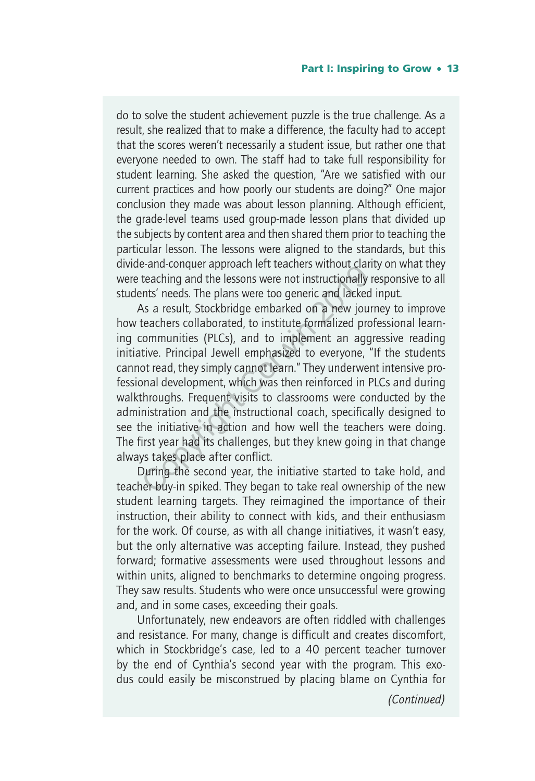do to solve the student achievement puzzle is the true challenge. As a result, she realized that to make a difference, the faculty had to accept that the scores weren't necessarily a student issue, but rather one that everyone needed to own. The staff had to take full responsibility for student learning. She asked the question, "Are we satisfied with our current practices and how poorly our students are doing?" One major conclusion they made was about lesson planning. Although efficient, the grade-level teams used group-made lesson plans that divided up the subjects by content area and then shared them prior to teaching the particular lesson. The lessons were aligned to the standards, but this divide-and-conquer approach left teachers without clarity on what they were teaching and the lessons were not instructionally responsive to all students' needs. The plans were too generic and lacked input.

As a result, Stockbridge embarked on a new journey to improve how teachers collaborated, to institute formalized professional learning communities (PLCs), and to implement an aggressive reading initiative. Principal Jewell emphasized to everyone, "If the students cannot read, they simply cannot learn." They underwent intensive professional development, which was then reinforced in PLCs and during walkthroughs. Frequent visits to classrooms were conducted by the administration and the instructional coach, specifically designed to see the initiative in action and how well the teachers were doing. The first year had its challenges, but they knew going in that change always takes place after conflict. e-and-conquer approach left teachers without clant<br>teaching and the lessons were not instructionally re-<br>teaching and the lessons were not instructionally re-<br>hts' needs. The plans were too generic and lacked<br>is a result,

During the second year, the initiative started to take hold, and teacher buy-in spiked. They began to take real ownership of the new student learning targets. They reimagined the importance of their instruction, their ability to connect with kids, and their enthusiasm for the work. Of course, as with all change initiatives, it wasn't easy, but the only alternative was accepting failure. Instead, they pushed forward; formative assessments were used throughout lessons and within units, aligned to benchmarks to determine ongoing progress. They saw results. Students who were once unsuccessful were growing and, and in some cases, exceeding their goals.

Unfortunately, new endeavors are often riddled with challenges and resistance. For many, change is difficult and creates discomfort, which in Stockbridge's case, led to a 40 percent teacher turnover by the end of Cynthia's second year with the program. This exodus could easily be misconstrued by placing blame on Cynthia for

(Continued)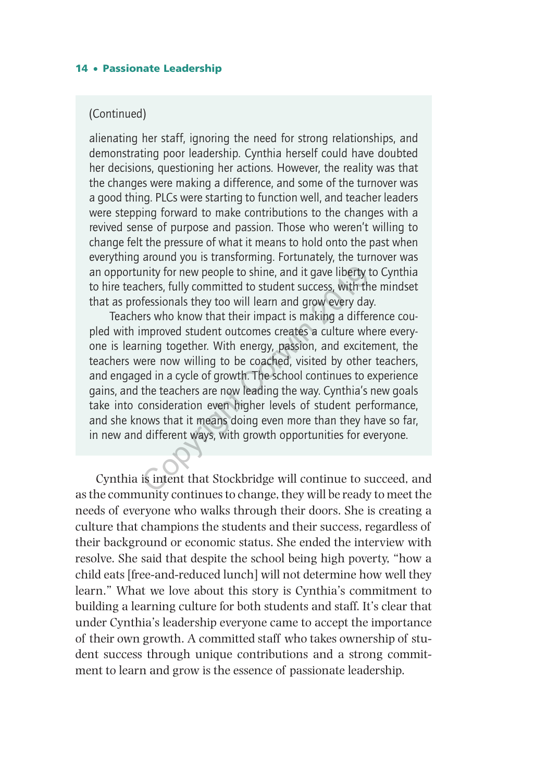#### 14 • Passionate Leadership

#### (Continued)

alienating her staff, ignoring the need for strong relationships, and demonstrating poor leadership. Cynthia herself could have doubted her decisions, questioning her actions. However, the reality was that the changes were making a difference, and some of the turnover was a good thing. PLCs were starting to function well, and teacher leaders were stepping forward to make contributions to the changes with a revived sense of purpose and passion. Those who weren't willing to change felt the pressure of what it means to hold onto the past when everything around you is transforming. Fortunately, the turnover was an opportunity for new people to shine, and it gave liberty to Cynthia to hire teachers, fully committed to student success, with the mindset that as professionals they too will learn and grow every day.

Teachers who know that their impact is making a difference coupled with improved student outcomes creates a culture where everyone is learning together. With energy, passion, and excitement, the teachers were now willing to be coached, visited by other teachers, and engaged in a cycle of growth. The school continues to experience gains, and the teachers are now leading the way. Cynthia's new goals take into consideration even higher levels of student performance, and she knows that it means doing even more than they have so far, in new and different ways, with growth opportunities for everyone. Inity for new people to shine, and it gave liberty to<br>thers, fully committed to student success, with the<br>fessionals they too will learn and grow every day.<br>Firs who know that their impact is making a differe<br>mproved stude

Cynthia is intent that Stockbridge will continue to succeed, and as the community continues to change, they will be ready to meet the needs of everyone who walks through their doors. She is creating a culture that champions the students and their success, regardless of their background or economic status. She ended the interview with resolve. She said that despite the school being high poverty, "how a child eats [free-and-reduced lunch] will not determine how well they learn." What we love about this story is Cynthia's commitment to building a learning culture for both students and staff. It's clear that under Cynthia's leadership everyone came to accept the importance of their own growth. A committed staff who takes ownership of student success through unique contributions and a strong commitment to learn and grow is the essence of passionate leadership.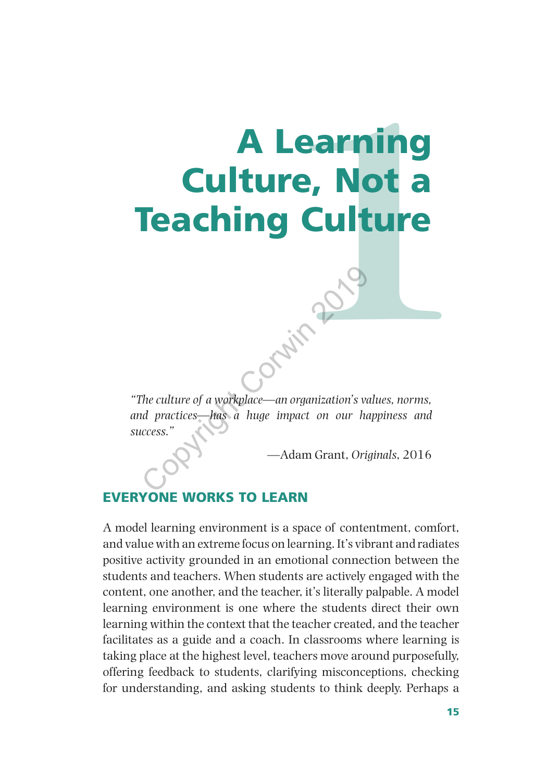# **101 degrad**<br>
111 degrad<br>
1111 degrad<br>
1111 degrad<br>
112 degrad<br>
112 degrad<br>
112 degrad<br>
112 degrad<br>
112 degrad<br>
112 degrad<br>
112 degrad<br>
112 degrad<br>
112 degrad<br>
112 degrad<br>
112 degrad<br>
112 degrad<br>
112 degrad<br>
112 degrad<br>
11 A Learning Culture, Not a Teaching Culture

*"The culture of a workplace—an organization's values, norms, and practices—has a huge impact on our happiness and success."* The culture of a workplace—an organization's value of a vorkplace—an organization's value of a vorkplace —an organization's value of  $\frac{1}{2}$  —Adam Grant, Original and Corpus — Adam Grant, Original and Corpus — Adam Grant

—Adam Grant, *Originals*, 2016

## EVERYONE WORKS TO LEARN

A model learning environment is a space of contentment, comfort, and value with an extreme focus on learning. It's vibrant and radiates positive activity grounded in an emotional connection between the students and teachers. When students are actively engaged with the content, one another, and the teacher, it's literally palpable. A model learning environment is one where the students direct their own learning within the context that the teacher created, and the teacher facilitates as a guide and a coach. In classrooms where learning is taking place at the highest level, teachers move around purposefully, offering feedback to students, clarifying misconceptions, checking for understanding, and asking students to think deeply. Perhaps a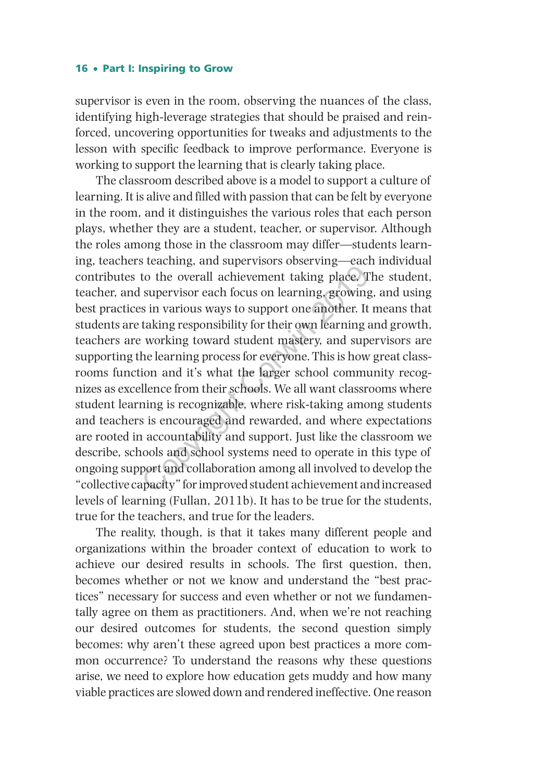supervisor is even in the room, observing the nuances of the class, identifying high-leverage strategies that should be praised and reinforced, uncovering opportunities for tweaks and adjustments to the lesson with specific feedback to improve performance. Everyone is working to support the learning that is clearly taking place.

The classroom described above is a model to support a culture of learning. It is alive and filled with passion that can be felt by everyone in the room, and it distinguishes the various roles that each person plays, whether they are a student, teacher, or supervisor. Although the roles among those in the classroom may differ—students learning, teachers teaching, and supervisors observing—each individual contributes to the overall achievement taking place. The student, teacher, and supervisor each focus on learning, growing, and using best practices in various ways to support one another. It means that students are taking responsibility for their own learning and growth, teachers are working toward student mastery, and supervisors are supporting the learning process for everyone. This is how great classrooms function and it's what the larger school community recognizes as excellence from their schools. We all want classrooms where student learning is recognizable, where risk-taking among students and teachers is encouraged and rewarded, and where expectations are rooted in accountability and support. Just like the classroom we describe, schools and school systems need to operate in this type of ongoing support and collaboration among all involved to develop the "collective capacity" for improved student achievement and increased levels of learning (Fullan, 2011b). It has to be true for the students, true for the teachers, and true for the leaders. The subset of the overall achievement taking place. The supervisor each focus on learning, growing, s in various ways to support one another. It relaking responsibility for their own learning an working toward student mast

The reality, though, is that it takes many different people and organizations within the broader context of education to work to achieve our desired results in schools. The first question, then, becomes whether or not we know and understand the "best practices" necessary for success and even whether or not we fundamentally agree on them as practitioners. And, when we're not reaching our desired outcomes for students, the second question simply becomes: why aren't these agreed upon best practices a more common occurrence? To understand the reasons why these questions arise, we need to explore how education gets muddy and how many viable practices are slowed down and rendered ineffective. One reason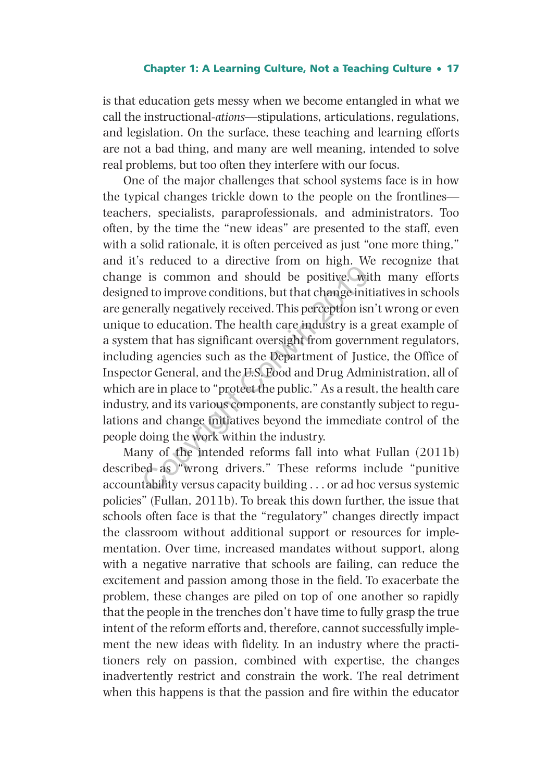is that education gets messy when we become entangled in what we call the instructional-*ations*—stipulations, articulations, regulations, and legislation. On the surface, these teaching and learning efforts are not a bad thing, and many are well meaning, intended to solve real problems, but too often they interfere with our focus.

One of the major challenges that school systems face is in how the typical changes trickle down to the people on the frontlines teachers, specialists, paraprofessionals, and administrators. Too often, by the time the "new ideas" are presented to the staff, even with a solid rationale, it is often perceived as just "one more thing," and it's reduced to a directive from on high. We recognize that change is common and should be positive, with many efforts designed to improve conditions, but that change initiatives in schools are generally negatively received. This perception isn't wrong or even unique to education. The health care industry is a great example of a system that has significant oversight from government regulators, including agencies such as the Department of Justice, the Office of Inspector General, and the U.S. Food and Drug Administration, all of which are in place to "protect the public." As a result, the health care industry, and its various components, are constantly subject to regulations and change initiatives beyond the immediate control of the people doing the work within the industry. Francea to a antective from on inguration is set to the positive, with the positive, with the domprove conditions, but that change initially regatively received. This perception isn' to education. The health care industry

Many of the intended reforms fall into what Fullan (2011b) described as "wrong drivers." These reforms include "punitive accountability versus capacity building . . . or ad hoc versus systemic policies" (Fullan, 2011b). To break this down further, the issue that schools often face is that the "regulatory" changes directly impact the classroom without additional support or resources for implementation. Over time, increased mandates without support, along with a negative narrative that schools are failing, can reduce the excitement and passion among those in the field. To exacerbate the problem, these changes are piled on top of one another so rapidly that the people in the trenches don't have time to fully grasp the true intent of the reform efforts and, therefore, cannot successfully implement the new ideas with fidelity. In an industry where the practitioners rely on passion, combined with expertise, the changes inadvertently restrict and constrain the work. The real detriment when this happens is that the passion and fire within the educator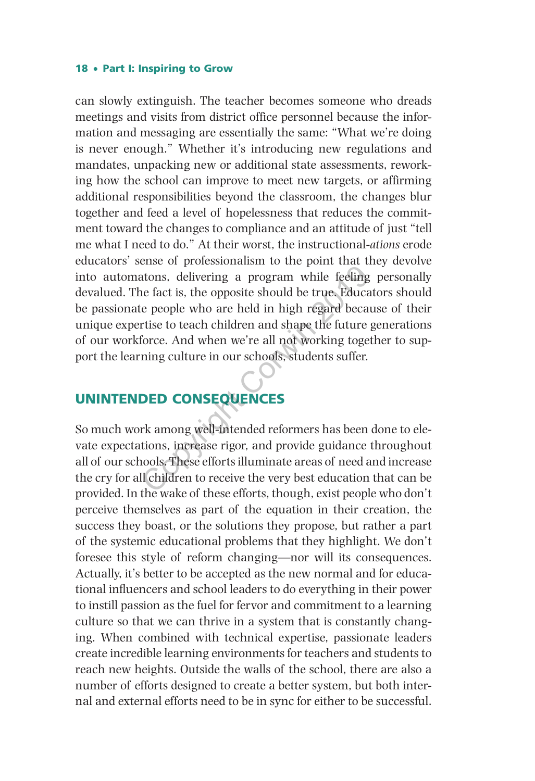can slowly extinguish. The teacher becomes someone who dreads meetings and visits from district office personnel because the information and messaging are essentially the same: "What we're doing is never enough." Whether it's introducing new regulations and mandates, unpacking new or additional state assessments, reworking how the school can improve to meet new targets, or affirming additional responsibilities beyond the classroom, the changes blur together and feed a level of hopelessness that reduces the commitment toward the changes to compliance and an attitude of just "tell me what I need to do." At their worst, the instructional-*ations* erode educators' sense of professionalism to the point that they devolve into automatons, delivering a program while feeling personally devalued. The fact is, the opposite should be true. Educators should be passionate people who are held in high regard because of their unique expertise to teach children and shape the future generations of our workforce. And when we're all not working together to support the learning culture in our schools, students suffer. Example of processes and are point that in the set of the set of the set of the set of the set of the set of the set of the set of the set of the set of the set of the set of the set of the set of the set of the set of the

# UNINTENDED CONSEQUENCES

So much work among well-intended reformers has been done to elevate expectations, increase rigor, and provide guidance throughout all of our schools. These efforts illuminate areas of need and increase the cry for all children to receive the very best education that can be provided. In the wake of these efforts, though, exist people who don't perceive themselves as part of the equation in their creation, the success they boast, or the solutions they propose, but rather a part of the systemic educational problems that they highlight. We don't foresee this style of reform changing—nor will its consequences. Actually, it's better to be accepted as the new normal and for educational influencers and school leaders to do everything in their power to instill passion as the fuel for fervor and commitment to a learning culture so that we can thrive in a system that is constantly changing. When combined with technical expertise, passionate leaders create incredible learning environments for teachers and students to reach new heights. Outside the walls of the school, there are also a number of efforts designed to create a better system, but both internal and external efforts need to be in sync for either to be successful.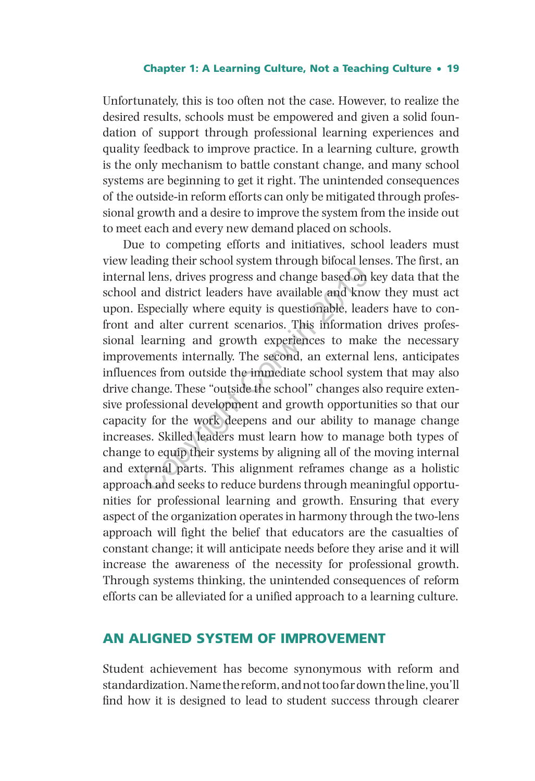Unfortunately, this is too often not the case. However, to realize the desired results, schools must be empowered and given a solid foundation of support through professional learning experiences and quality feedback to improve practice. In a learning culture, growth is the only mechanism to battle constant change, and many school systems are beginning to get it right. The unintended consequences of the outside-in reform efforts can only be mitigated through professional growth and a desire to improve the system from the inside out to meet each and every new demand placed on schools.

Due to competing efforts and initiatives, school leaders must view leading their school system through bifocal lenses. The first, an internal lens, drives progress and change based on key data that the school and district leaders have available and know they must act upon. Especially where equity is questionable, leaders have to confront and alter current scenarios. This information drives professional learning and growth experiences to make the necessary improvements internally. The second, an external lens, anticipates influences from outside the immediate school system that may also drive change. These "outside the school" changes also require extensive professional development and growth opportunities so that our capacity for the work deepens and our ability to manage change increases. Skilled leaders must learn how to manage both types of change to equip their systems by aligning all of the moving internal and external parts. This alignment reframes change as a holistic approach and seeks to reduce burdens through meaningful opportunities for professional learning and growth. Ensuring that every aspect of the organization operates in harmony through the two-lens approach will fight the belief that educators are the casualties of constant change; it will anticipate needs before they arise and it will increase the awareness of the necessity for professional growth. Through systems thinking, the unintended consequences of reform efforts can be alleviated for a unified approach to a learning culture. I lens, drives progress and change based on k<br>I lens, drives progress and change based on k<br>and district leaders have available and know<br>Especially where equity is questionable, leade<br>md alter current scenarios. This infor

# AN ALIGNED SYSTEM OF IMPROVEMENT

Student achievement has become synonymous with reform and standardization. Name the reform, and not too far down the line, you'll find how it is designed to lead to student success through clearer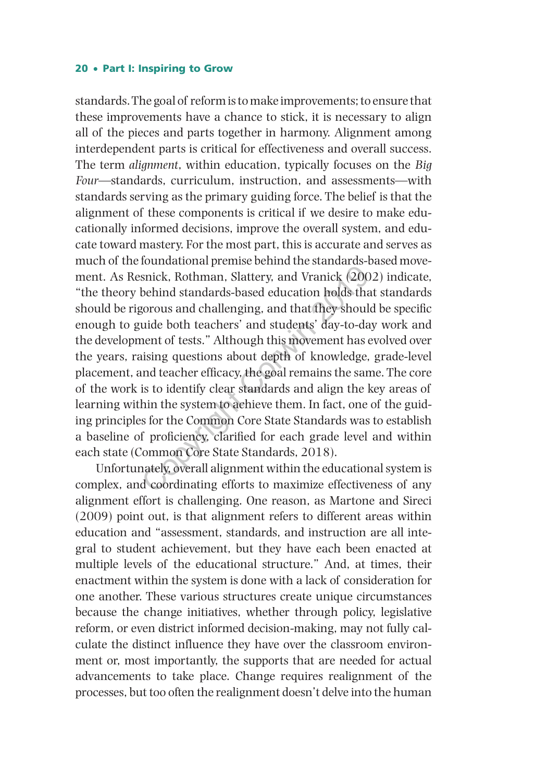standards. The goal of reform is to make improvements; to ensure that these improvements have a chance to stick, it is necessary to align all of the pieces and parts together in harmony. Alignment among interdependent parts is critical for effectiveness and overall success. The term *alignment*, within education, typically focuses on the *Big Four*—standards, curriculum, instruction, and assessments—with standards serving as the primary guiding force. The belief is that the alignment of these components is critical if we desire to make educationally informed decisions, improve the overall system, and educate toward mastery. For the most part, this is accurate and serves as much of the foundational premise behind the standards-based movement. As Resnick, Rothman, Slattery, and Vranick (2002) indicate, "the theory behind standards-based education holds that standards should be rigorous and challenging, and that they should be specific enough to guide both teachers' and students' day-to-day work and the development of tests." Although this movement has evolved over the years, raising questions about depth of knowledge, grade-level placement, and teacher efficacy, the goal remains the same. The core of the work is to identify clear standards and align the key areas of learning within the system to achieve them. In fact, one of the guiding principles for the Common Core State Standards was to establish a baseline of proficiency, clarified for each grade level and within each state (Common Core State Standards, 2018). Example Frame Comma are cannated since since, Rothman, Slattery, and Vranick (2002<br>behind standards-based education holds that<br>gorous and challenging, and that they should<br>uide both teachers' and students' day-to-day<br>nent

Unfortunately, overall alignment within the educational system is complex, and coordinating efforts to maximize effectiveness of any alignment effort is challenging. One reason, as Martone and Sireci (2009) point out, is that alignment refers to different areas within education and "assessment, standards, and instruction are all integral to student achievement, but they have each been enacted at multiple levels of the educational structure." And, at times, their enactment within the system is done with a lack of consideration for one another. These various structures create unique circumstances because the change initiatives, whether through policy, legislative reform, or even district informed decision-making, may not fully calculate the distinct influence they have over the classroom environment or, most importantly, the supports that are needed for actual advancements to take place. Change requires realignment of the processes, but too often the realignment doesn't delve into the human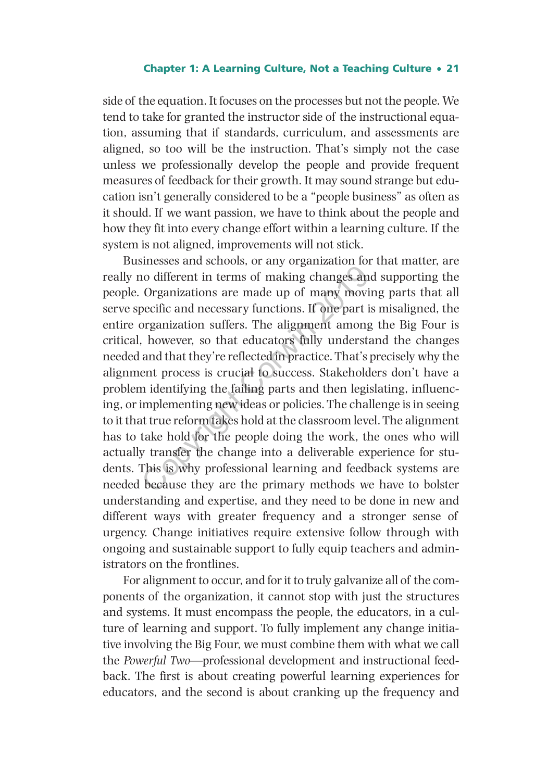side of the equation. It focuses on the processes but not the people. We tend to take for granted the instructor side of the instructional equation, assuming that if standards, curriculum, and assessments are aligned, so too will be the instruction. That's simply not the case unless we professionally develop the people and provide frequent measures of feedback for their growth. It may sound strange but education isn't generally considered to be a "people business" as often as it should. If we want passion, we have to think about the people and how they fit into every change effort within a learning culture. If the system is not aligned, improvements will not stick.

Businesses and schools, or any organization for that matter, are really no different in terms of making changes and supporting the people. Organizations are made up of many moving parts that all serve specific and necessary functions. If one part is misaligned, the entire organization suffers. The alignment among the Big Four is critical, however, so that educators fully understand the changes needed and that they're reflected in practice. That's precisely why the alignment process is crucial to success. Stakeholders don't have a problem identifying the failing parts and then legislating, influencing, or implementing new ideas or policies. The challenge is in seeing to it that true reform takes hold at the classroom level. The alignment has to take hold for the people doing the work, the ones who will actually transfer the change into a deliverable experience for students. This is why professional learning and feedback systems are needed because they are the primary methods we have to bolster understanding and expertise, and they need to be done in new and different ways with greater frequency and a stronger sense of urgency. Change initiatives require extensive follow through with ongoing and sustainable support to fully equip teachers and administrators on the frontlines. no different in terms of making changes and<br>Organizations are made up of many movin<br>pecific and necessary functions. If one part is<br>organization suffers. The alignment among<br>, however, so that educators fully understan<br>and

For alignment to occur, and for it to truly galvanize all of the components of the organization, it cannot stop with just the structures and systems. It must encompass the people, the educators, in a culture of learning and support. To fully implement any change initiative involving the Big Four, we must combine them with what we call the *Powerful Two*—professional development and instructional feedback. The first is about creating powerful learning experiences for educators, and the second is about cranking up the frequency and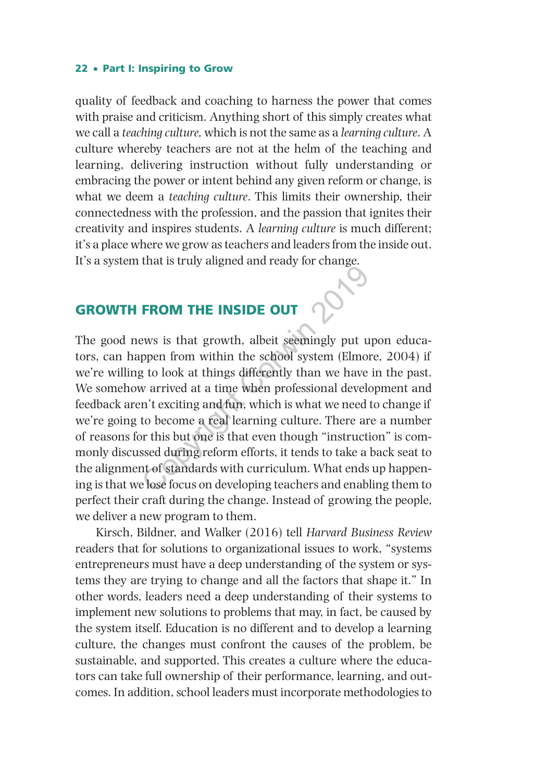quality of feedback and coaching to harness the power that comes with praise and criticism. Anything short of this simply creates what we call a *teaching culture,* which is not the same as a *learning culture*. A culture whereby teachers are not at the helm of the teaching and learning, delivering instruction without fully understanding or embracing the power or intent behind any given reform or change, is what we deem a *teaching culture*. This limits their ownership, their connectedness with the profession, and the passion that ignites their creativity and inspires students. A *learning culture* is much different; it's a place where we grow as teachers and leaders from the inside out. It's a system that is truly aligned and ready for change.

# GROWTH FROM THE INSIDE OUT

The good news is that growth, albeit seemingly put upon educators, can happen from within the school system (Elmore, 2004) if we're willing to look at things differently than we have in the past. We somehow arrived at a time when professional development and feedback aren't exciting and fun, which is what we need to change if we're going to become a real learning culture. There are a number of reasons for this but one is that even though "instruction" is commonly discussed during reform efforts, it tends to take a back seat to the alignment of standards with curriculum. What ends up happening is that we lose focus on developing teachers and enabling them to perfect their craft during the change. Instead of growing the people, we deliver a new program to them. **EROM THE INSIDE OUT**<br>
EROM THE INSIDE OUT<br>
EWERT SERVERT PROM THE INSIDE OUT<br>
EWERT SERVERT (EXECUTE 2019)<br>
They popen from within the school system (Elmore<br>
g to look at things differently than we have it<br>
w arrived at a

Kirsch, Bildner, and Walker (2016) tell *Harvard Business Review* readers that for solutions to organizational issues to work, "systems entrepreneurs must have a deep understanding of the system or systems they are trying to change and all the factors that shape it." In other words, leaders need a deep understanding of their systems to implement new solutions to problems that may, in fact, be caused by the system itself. Education is no different and to develop a learning culture, the changes must confront the causes of the problem, be sustainable, and supported. This creates a culture where the educators can take full ownership of their performance, learning, and outcomes. In addition, school leaders must incorporate methodologies to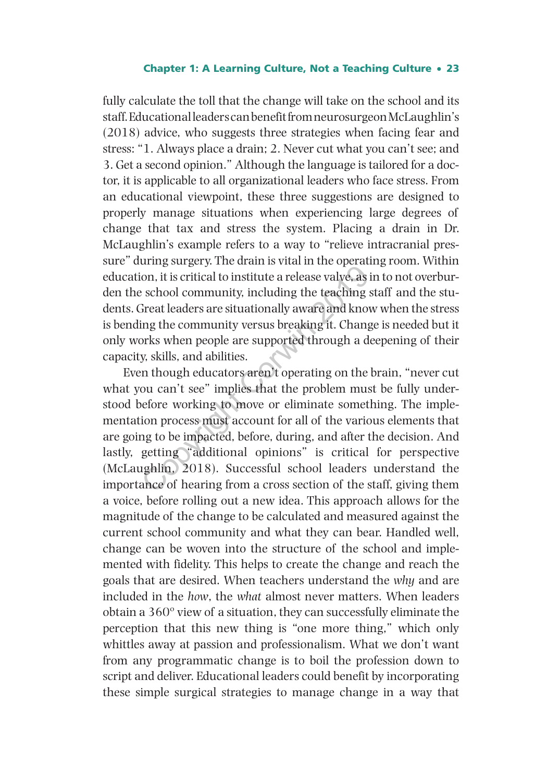fully calculate the toll that the change will take on the school and its staff. Educational leaders can benefit from neurosurgeon McLaughlin's (2018) advice, who suggests three strategies when facing fear and stress: "1. Always place a drain; 2. Never cut what you can't see; and 3. Get a second opinion." Although the language is tailored for a doctor, it is applicable to all organizational leaders who face stress. From an educational viewpoint, these three suggestions are designed to properly manage situations when experiencing large degrees of change that tax and stress the system. Placing a drain in Dr. McLaughlin's example refers to a way to "relieve intracranial pressure" during surgery. The drain is vital in the operating room. Within education, it is critical to institute a release valve, as in to not overburden the school community, including the teaching staff and the students. Great leaders are situationally aware and know when the stress is bending the community versus breaking it. Change is needed but it only works when people are supported through a deepening of their capacity, skills, and abilities.

Even though educators aren't operating on the brain, "never cut what you can't see" implies that the problem must be fully understood before working to move or eliminate something. The implementation process must account for all of the various elements that are going to be impacted, before, during, and after the decision. And lastly, getting "additional opinions" is critical for perspective (McLaughlin, 2018). Successful school leaders understand the importance of hearing from a cross section of the staff, giving them a voice, before rolling out a new idea. This approach allows for the magnitude of the change to be calculated and measured against the current school community and what they can bear. Handled well, change can be woven into the structure of the school and implemented with fidelity. This helps to create the change and reach the goals that are desired. When teachers understand the *why* and are included in the *how*, the *what* almost never matters. When leaders obtain a 360º view of a situation, they can successfully eliminate the perception that this new thing is "one more thing," which only whittles away at passion and professionalism. What we don't want from any programmatic change is to boil the profession down to script and deliver. Educational leaders could benefit by incorporating these simple surgical strategies to manage change in a way that on, it is critical to institute a release valve, as in school community, including the teaching st<br>Secale leaders are situationally aware and know<br>ing the community versus breaking it. Change<br>orks when people are supported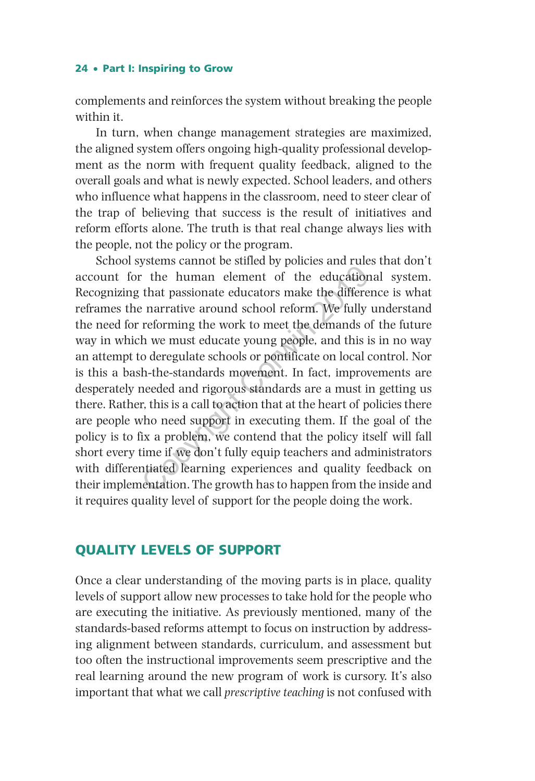complements and reinforces the system without breaking the people within it.

In turn, when change management strategies are maximized, the aligned system offers ongoing high-quality professional development as the norm with frequent quality feedback, aligned to the overall goals and what is newly expected. School leaders, and others who influence what happens in the classroom, need to steer clear of the trap of believing that success is the result of initiatives and reform efforts alone. The truth is that real change always lies with the people, not the policy or the program.

School systems cannot be stifled by policies and rules that don't account for the human element of the educational system. Recognizing that passionate educators make the difference is what reframes the narrative around school reform. We fully understand the need for reforming the work to meet the demands of the future way in which we must educate young people, and this is in no way an attempt to deregulate schools or pontificate on local control. Nor is this a bash-the-standards movement. In fact, improvements are desperately needed and rigorous standards are a must in getting us there. Rather, this is a call to action that at the heart of policies there are people who need support in executing them. If the goal of the policy is to fix a problem, we contend that the policy itself will fall short every time if we don't fully equip teachers and administrators with differentiated learning experiences and quality feedback on their implementation. The growth has to happen from the inside and it requires quality level of support for the people doing the work. The human element of the educational that passionate educators make the different entrarive around school reform. We fully u reforming the work to meet the demands of h we must educate young people, and this is o deregula

#### QUALITY LEVELS OF SUPPORT

Once a clear understanding of the moving parts is in place, quality levels of support allow new processes to take hold for the people who are executing the initiative. As previously mentioned, many of the standards-based reforms attempt to focus on instruction by addressing alignment between standards, curriculum, and assessment but too often the instructional improvements seem prescriptive and the real learning around the new program of work is cursory. It's also important that what we call *prescriptive teaching* is not confused with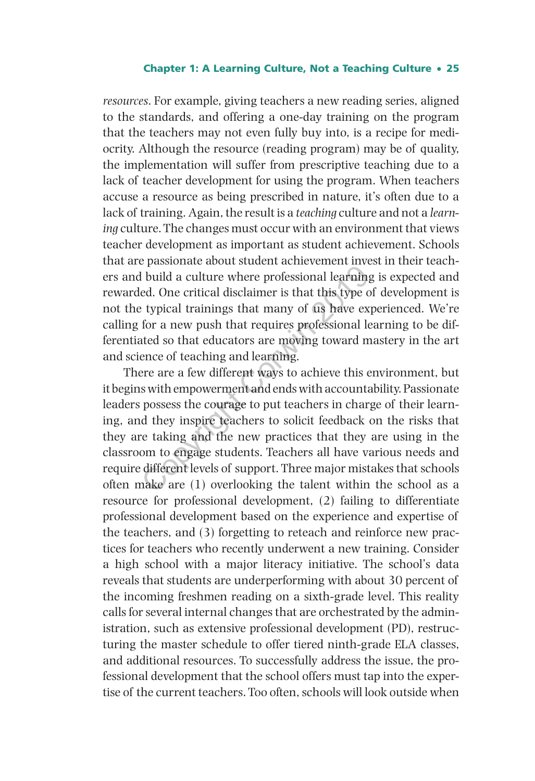*resources*. For example, giving teachers a new reading series, aligned to the standards, and offering a one-day training on the program that the teachers may not even fully buy into, is a recipe for mediocrity. Although the resource (reading program) may be of quality, the implementation will suffer from prescriptive teaching due to a lack of teacher development for using the program. When teachers accuse a resource as being prescribed in nature, it's often due to a lack of training. Again, the result is a *teaching* culture and not a *learning* culture. The changes must occur with an environment that views teacher development as important as student achievement. Schools that are passionate about student achievement invest in their teachers and build a culture where professional learning is expected and rewarded. One critical disclaimer is that this type of development is not the typical trainings that many of us have experienced. We're calling for a new push that requires professional learning to be differentiated so that educators are moving toward mastery in the art and science of teaching and learning.

There are a few different ways to achieve this environment, but it begins with empowerment and ends with accountability. Passionate leaders possess the courage to put teachers in charge of their learning, and they inspire teachers to solicit feedback on the risks that they are taking and the new practices that they are using in the classroom to engage students. Teachers all have various needs and require different levels of support. Three major mistakes that schools often make are (1) overlooking the talent within the school as a resource for professional development, (2) failing to differentiate professional development based on the experience and expertise of the teachers, and (3) forgetting to reteach and reinforce new practices for teachers who recently underwent a new training. Consider a high school with a major literacy initiative. The school's data reveals that students are underperforming with about 30 percent of the incoming freshmen reading on a sixth-grade level. This reality calls for several internal changes that are orchestrated by the administration, such as extensive professional development (PD), restructuring the master schedule to offer tiered ninth-grade ELA classes, and additional resources. To successfully address the issue, the professional development that the school offers must tap into the expertise of the current teachers. Too often, schools will look outside when France about stateme and controlled into the set of build a culture where professional learning ed. One critical disclaimer is that this type of typical trainings that many of us have exp for a new push that requires profe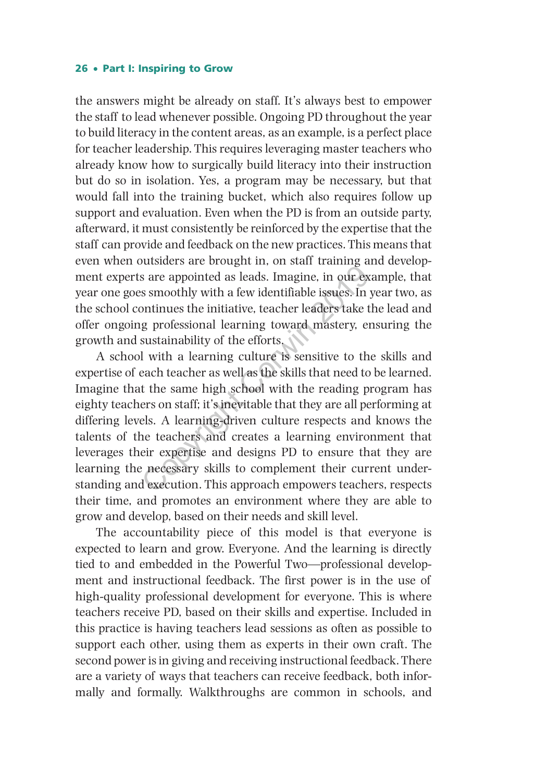the answers might be already on staff. It's always best to empower the staff to lead whenever possible. Ongoing PD throughout the year to build literacy in the content areas, as an example, is a perfect place for teacher leadership. This requires leveraging master teachers who already know how to surgically build literacy into their instruction but do so in isolation. Yes, a program may be necessary, but that would fall into the training bucket, which also requires follow up support and evaluation. Even when the PD is from an outside party, afterward, it must consistently be reinforced by the expertise that the staff can provide and feedback on the new practices. This means that even when outsiders are brought in, on staff training and development experts are appointed as leads. Imagine, in our example, that year one goes smoothly with a few identifiable issues. In year two, as the school continues the initiative, teacher leaders take the lead and offer ongoing professional learning toward mastery, ensuring the growth and sustainability of the efforts.

A school with a learning culture is sensitive to the skills and expertise of each teacher as well as the skills that need to be learned. Imagine that the same high school with the reading program has eighty teachers on staff; it's inevitable that they are all performing at differing levels. A learning-driven culture respects and knows the talents of the teachers and creates a learning environment that leverages their expertise and designs PD to ensure that they are learning the necessary skills to complement their current understanding and execution. This approach empowers teachers, respects their time, and promotes an environment where they are able to grow and develop, based on their needs and skill level. Example the cross of the cross of the cross of the cross of the set of the set of the professional learning toward mastery, ensustainability of the efforts,<br>I with a few identifiable issues. In yontinues the initiative, te

The accountability piece of this model is that everyone is expected to learn and grow. Everyone. And the learning is directly tied to and embedded in the Powerful Two—professional development and instructional feedback. The first power is in the use of high-quality professional development for everyone. This is where teachers receive PD, based on their skills and expertise. Included in this practice is having teachers lead sessions as often as possible to support each other, using them as experts in their own craft. The second power is in giving and receiving instructional feedback. There are a variety of ways that teachers can receive feedback, both informally and formally. Walkthroughs are common in schools, and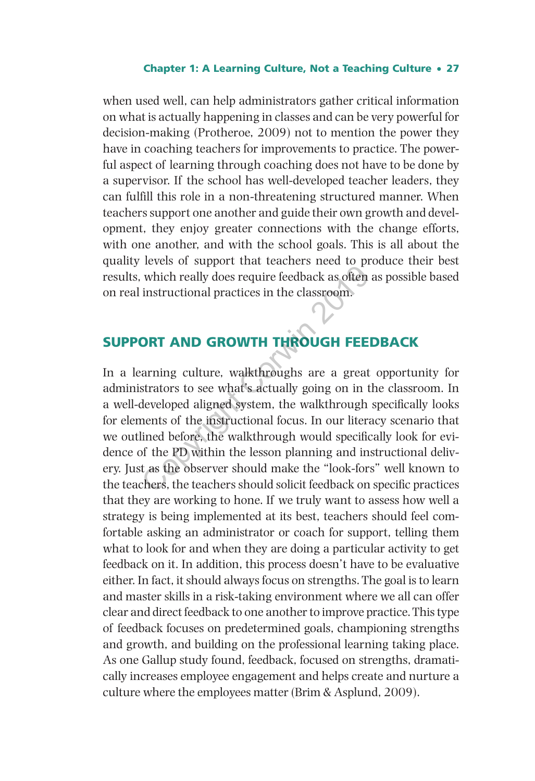when used well, can help administrators gather critical information on what is actually happening in classes and can be very powerful for decision-making (Protheroe, 2009) not to mention the power they have in coaching teachers for improvements to practice. The powerful aspect of learning through coaching does not have to be done by a supervisor. If the school has well-developed teacher leaders, they can fulfill this role in a non-threatening structured manner. When teachers support one another and guide their own growth and development, they enjoy greater connections with the change efforts, with one another, and with the school goals. This is all about the quality levels of support that teachers need to produce their best results, which really does require feedback as often as possible based on real instructional practices in the classroom.

# SUPPORT AND GROWTH THROUGH FEEDBACK

In a learning culture, walkthroughs are a great opportunity for administrators to see what's actually going on in the classroom. In a well-developed aligned system, the walkthrough specifically looks for elements of the instructional focus. In our literacy scenario that we outlined before, the walkthrough would specifically look for evidence of the PD within the lesson planning and instructional delivery. Just as the observer should make the "look-fors" well known to the teachers, the teachers should solicit feedback on specific practices that they are working to hone. If we truly want to assess how well a strategy is being implemented at its best, teachers should feel comfortable asking an administrator or coach for support, telling them what to look for and when they are doing a particular activity to get feedback on it. In addition, this process doesn't have to be evaluative either. In fact, it should always focus on strengths. The goal is to learn and master skills in a risk-taking environment where we all can offer clear and direct feedback to one another to improve practice. This type of feedback focuses on predetermined goals, championing strengths and growth, and building on the professional learning taking place. As one Gallup study found, feedback, focused on strengths, dramatically increases employee engagement and helps create and nurture a culture where the employees matter (Brim & Asplund, 2009). The state of expression and teachers heed to provide which really does require feedback as often a<br>instructional practices in the classroom.<br>**ORT AND GROWTH THROUGH FEED**<br>arming culture, walkthroughs are a great<br>strators t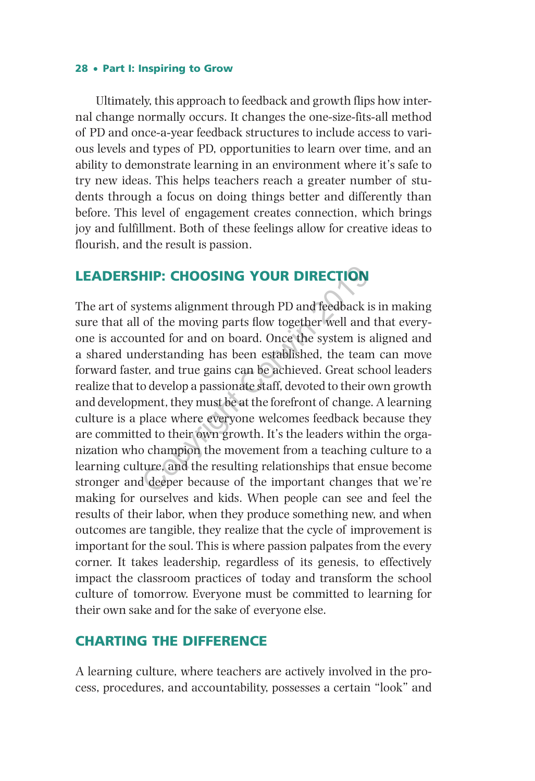Ultimately, this approach to feedback and growth flips how internal change normally occurs. It changes the one-size-fits-all method of PD and once-a-year feedback structures to include access to various levels and types of PD, opportunities to learn over time, and an ability to demonstrate learning in an environment where it's safe to try new ideas. This helps teachers reach a greater number of students through a focus on doing things better and differently than before. This level of engagement creates connection, which brings joy and fulfillment. Both of these feelings allow for creative ideas to flourish, and the result is passion.

# LEADERSHIP: CHOOSING YOUR DIRECTION

The art of systems alignment through PD and feedback is in making sure that all of the moving parts flow together well and that everyone is accounted for and on board. Once the system is aligned and a shared understanding has been established, the team can move forward faster, and true gains can be achieved. Great school leaders realize that to develop a passionate staff, devoted to their own growth and development, they must be at the forefront of change. A learning culture is a place where everyone welcomes feedback because they are committed to their own growth. It's the leaders within the organization who champion the movement from a teaching culture to a learning culture, and the resulting relationships that ensue become stronger and deeper because of the important changes that we're making for ourselves and kids. When people can see and feel the results of their labor, when they produce something new, and when outcomes are tangible, they realize that the cycle of improvement is important for the soul. This is where passion palpates from the every corner. It takes leadership, regardless of its genesis, to effectively impact the classroom practices of today and transform the school culture of tomorrow. Everyone must be committed to learning for their own sake and for the sake of everyone else. **HIP: CHOOSING YOUR DIRECTION**<br>stems alignment through PD and feedback is<br>of the moving parts flow together well and t<br>nted for and on board. Once the system is a<br>derstanding has been established, the team<br>er, and true gai

# CHARTING THE DIFFERENCE

A learning culture, where teachers are actively involved in the process, procedures, and accountability, possesses a certain "look" and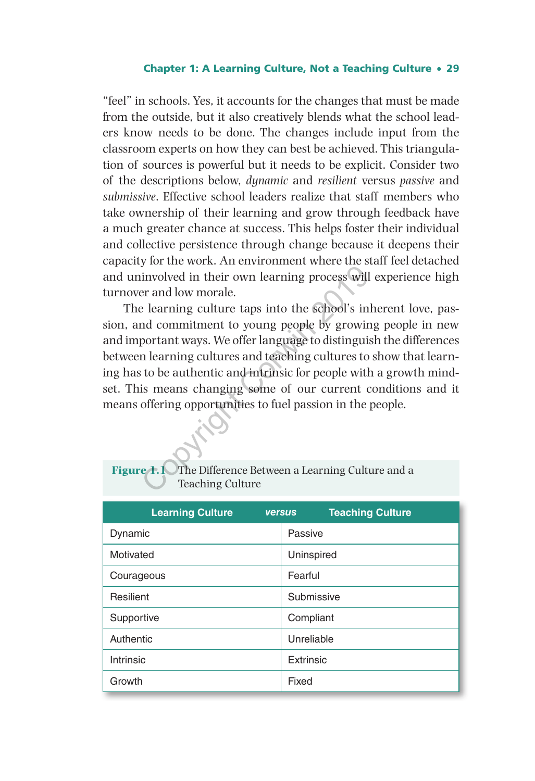"feel" in schools. Yes, it accounts for the changes that must be made from the outside, but it also creatively blends what the school leaders know needs to be done. The changes include input from the classroom experts on how they can best be achieved. This triangulation of sources is powerful but it needs to be explicit. Consider two of the descriptions below, *dynamic* and *resilient* versus *passive* and *submissive*. Effective school leaders realize that staff members who take ownership of their learning and grow through feedback have a much greater chance at success. This helps foster their individual and collective persistence through change because it deepens their capacity for the work. An environment where the staff feel detached and uninvolved in their own learning process will experience high turnover and low morale.

The learning culture taps into the school's inherent love, passion, and commitment to young people by growing people in new and important ways. We offer language to distinguish the differences between learning cultures and teaching cultures to show that learning has to be authentic and intrinsic for people with a growth mindset. This means changing some of our current conditions and it means offering opportunities to fuel passion in the people. From the montrier and burst and the involved in their own learning process will depend to the school's inhad commitment to young people by growing portant ways. We offer language to distinguish hearning cultures and teachi

**Figure 1.1** The Difference Between a Learning Culture and a Teaching Culture

| <b>Learning Culture</b> | <b>Teaching Culture</b><br><b>versus</b> |
|-------------------------|------------------------------------------|
| Dynamic                 | Passive                                  |
| Motivated               | Uninspired                               |
| Courageous              | Fearful                                  |
| Resilient               | Submissive                               |
| Supportive              | Compliant                                |
| Authentic               | Unreliable                               |
| Intrinsic               | Extrinsic                                |
| Growth                  | Fixed                                    |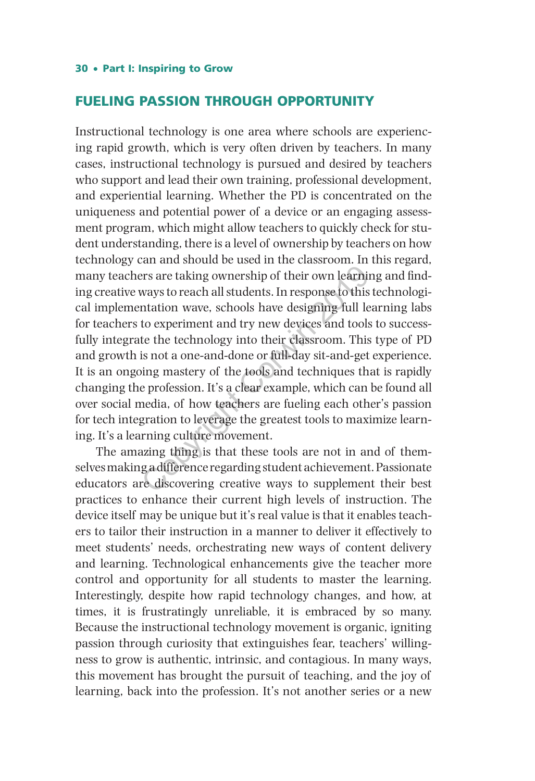## FUELING PASSION THROUGH OPPORTUNITY

Instructional technology is one area where schools are experiencing rapid growth, which is very often driven by teachers. In many cases, instructional technology is pursued and desired by teachers who support and lead their own training, professional development, and experiential learning. Whether the PD is concentrated on the uniqueness and potential power of a device or an engaging assessment program, which might allow teachers to quickly check for student understanding, there is a level of ownership by teachers on how technology can and should be used in the classroom. In this regard, many teachers are taking ownership of their own learning and finding creative ways to reach all students. In response to this technological implementation wave, schools have designing full learning labs for teachers to experiment and try new devices and tools to successfully integrate the technology into their classroom. This type of PD and growth is not a one-and-done or full-day sit-and-get experience. It is an ongoing mastery of the tools and techniques that is rapidly changing the profession. It's a clear example, which can be found all over social media, of how teachers are fueling each other's passion for tech integration to leverage the greatest tools to maximize learning. It's a learning culture movement. res are taking ownership of their own learning<br>ways to reach all students. In response to this t<br>ntation wave, schools have designing full lea<br>to experiment and try new devices and tools<br>te the technology into their classr

The amazing thing is that these tools are not in and of themselves making a difference regarding student achievement. Passionate educators are discovering creative ways to supplement their best practices to enhance their current high levels of instruction. The device itself may be unique but it's real value is that it enables teachers to tailor their instruction in a manner to deliver it effectively to meet students' needs, orchestrating new ways of content delivery and learning. Technological enhancements give the teacher more control and opportunity for all students to master the learning. Interestingly, despite how rapid technology changes, and how, at times, it is frustratingly unreliable, it is embraced by so many. Because the instructional technology movement is organic, igniting passion through curiosity that extinguishes fear, teachers' willingness to grow is authentic, intrinsic, and contagious. In many ways, this movement has brought the pursuit of teaching, and the joy of learning, back into the profession. It's not another series or a new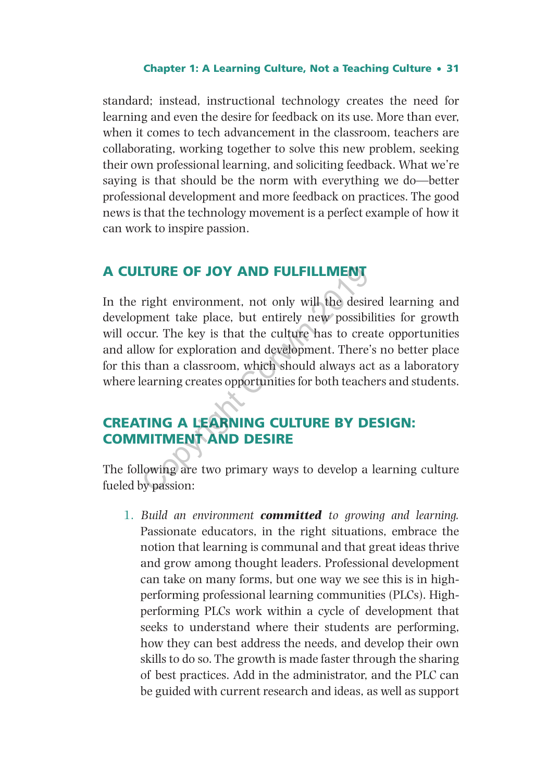standard; instead, instructional technology creates the need for learning and even the desire for feedback on its use. More than ever, when it comes to tech advancement in the classroom, teachers are collaborating, working together to solve this new problem, seeking their own professional learning, and soliciting feedback. What we're saying is that should be the norm with everything we do—better professional development and more feedback on practices. The good news is that the technology movement is a perfect example of how it can work to inspire passion.

## A CULTURE OF JOY AND FULFILLMENT

In the right environment, not only will the desired learning and development take place, but entirely new possibilities for growth will occur. The key is that the culture has to create opportunities and allow for exploration and development. There's no better place for this than a classroom, which should always act as a laboratory where learning creates opportunities for both teachers and students. **TURE OF JOY AND FULFILLMENT**<br>right environment, not only will the desire<br>ment take place, but entirely new possibili<br>cur. The key is that the culture has to creat<br>ow for exploration and development. There's<br>than a classro

# CREATING A LEARNING CULTURE BY DESIGN: COMMITMENT AND DESIRE

The following are two primary ways to develop a learning culture fueled by passion:

1. *Build an environment committed to growing and learning.* Passionate educators, in the right situations, embrace the notion that learning is communal and that great ideas thrive and grow among thought leaders. Professional development can take on many forms, but one way we see this is in highperforming professional learning communities (PLCs). Highperforming PLCs work within a cycle of development that seeks to understand where their students are performing, how they can best address the needs, and develop their own skills to do so. The growth is made faster through the sharing of best practices. Add in the administrator, and the PLC can be guided with current research and ideas, as well as support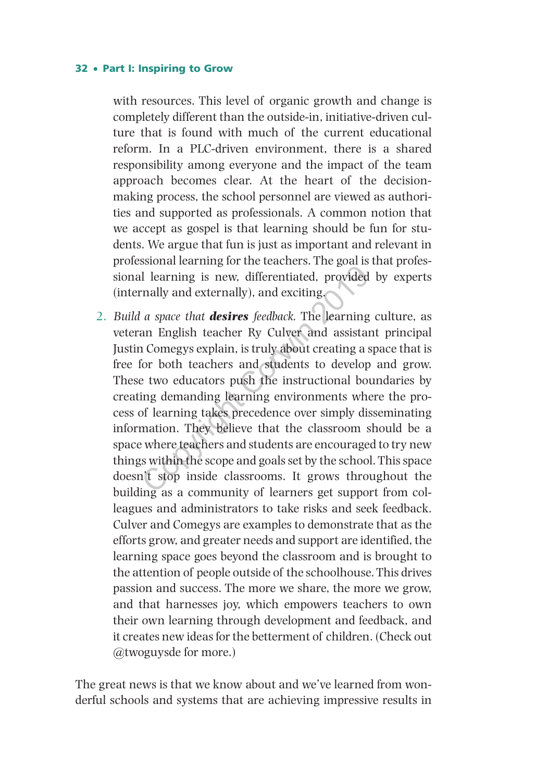with resources. This level of organic growth and change is completely different than the outside-in, initiative-driven culture that is found with much of the current educational reform. In a PLC-driven environment, there is a shared responsibility among everyone and the impact of the team approach becomes clear. At the heart of the decisionmaking process, the school personnel are viewed as authorities and supported as professionals. A common notion that we accept as gospel is that learning should be fun for students. We argue that fun is just as important and relevant in professional learning for the teachers. The goal is that professional learning is new, differentiated, provided by experts (internally and externally), and exciting.

2. *Build a space that desires feedback.* The learning culture, as veteran English teacher Ry Culver and assistant principal Justin Comegys explain, is truly about creating a space that is free for both teachers and students to develop and grow. These two educators push the instructional boundaries by creating demanding learning environments where the process of learning takes precedence over simply disseminating information. They believe that the classroom should be a space where teachers and students are encouraged to try new things within the scope and goals set by the school. This space doesn't stop inside classrooms. It grows throughout the building as a community of learners get support from colleagues and administrators to take risks and seek feedback. Culver and Comegys are examples to demonstrate that as the efforts grow, and greater needs and support are identified, the learning space goes beyond the classroom and is brought to the attention of people outside of the schoolhouse. This drives passion and success. The more we share, the more we grow, and that harnesses joy, which empowers teachers to own their own learning through development and feedback, and it creates new ideas for the betterment of children. (Check out @twoguysde for more.) I learning is new, differentiated, provided inally and externally), and exciting.<br>
a space that **desires** feedback. The learning and English teacher Ry Culver and assistant Comegys explain, is truly about creating a sport

The great news is that we know about and we've learned from wonderful schools and systems that are achieving impressive results in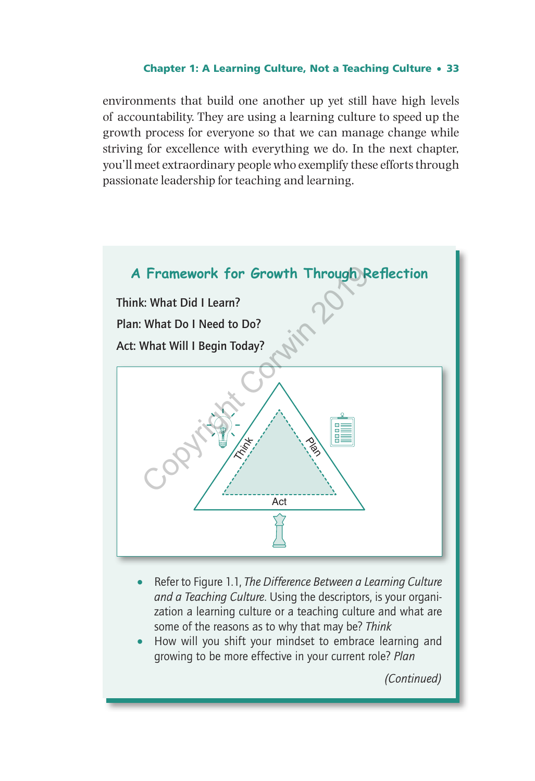environments that build one another up yet still have high levels of accountability. They are using a learning culture to speed up the growth process for everyone so that we can manage change while striving for excellence with everything we do. In the next chapter, you'll meet extraordinary people who exemplify these efforts through passionate leadership for teaching and learning.



- Refer to Figure 1.1, *The Difference Between a Learning Culture and a Teaching Culture*. Using the descriptors, is your organization a learning culture or a teaching culture and what are some of the reasons as to why that may be? *Think*
- How will you shift your mindset to embrace learning and growing to be more effective in your current role? *Plan*

*(Continued)*